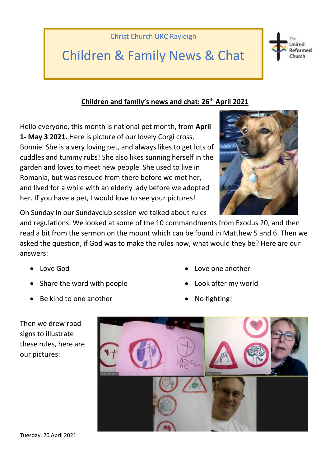

## Children & Family News & Chat



Hello everyone, this month is national pet month, from **April 1- May 3 2021.** Here is picture of our lovely Corgi cross, Bonnie. She is a very loving pet, and always likes to get lots of cuddles and tummy rubs! She also likes sunning herself in the garden and loves to meet new people. She used to live in Romania, but was rescued from there before we met her, and lived for a while with an elderly lady before we adopted her. If you have a pet, I would love to see your pictures!



United Reformed **hurch** 

On Sunday in our Sundayclub session we talked about rules

and regulations. We looked at some of the 10 commandments from Exodus 20, and then read a bit from the sermon on the mount which can be found in Matthew 5 and 6. Then we asked the question, if God was to make the rules now, what would they be? Here are our answers:

- Love God
- Share the word with people
- Be kind to one another
- Love one another
- Look after my world
- No fighting!



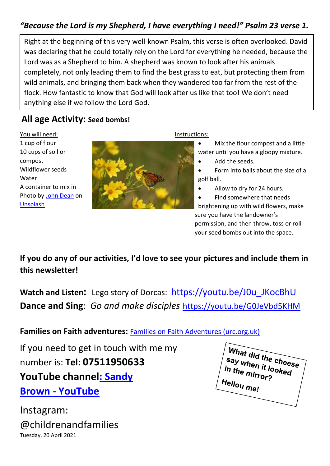#### *"Because the Lord is my Shepherd, I have everything I need!" Psalm 23 verse 1.*

Right at the beginning of this very well-known Psalm, this verse is often overlooked. David was declaring that he could totally rely on the Lord for everything he needed, because the Lord was as a Shepherd to him. A shepherd was known to look after his animals completely, not only leading them to find the best grass to eat, but protecting them from wild animals, and bringing them back when they wandered too far from the rest of the flock. How fantastic to know that God will look after us like that too! We don't need anything else if we follow the Lord God.

#### **All age Activity: Seed bombs!**

You will need: 1 cup of flour 10 cups of soil or compost Wildflower seeds Water A container to mix in Photo by [John Dean](https://unsplash.com/@hewiphoto?utm_source=unsplash&utm_medium=referral&utm_content=creditCopyText) on [Unsplash](https://unsplash.com/s/photos/wildflowers?utm_source=unsplash&utm_medium=referral&utm_content=creditCopyText)



Instructions:

• Mix the flour compost and a little water until you have a gloopy mixture.

• Add the seeds.

• Form into balls about the size of a golf ball.

Allow to dry for 24 hours.

• Find somewhere that needs brightening up with wild flowers, make sure you have the landowner's permission, and then throw, toss or roll your seed bombs out into the space.

**If you do any of our activities, I'd love to see your pictures and include them in this newsletter!**

**Watch and Listen:** Lego story of Dorcas: [https://youtu.be/J0u\\_JKocBhU](https://youtu.be/J0u_JKocBhU) **Dance and Sing**: *Go and make disciples* <https://youtu.be/G0JeVbd5KHM>

**Families on Faith adventures:** [Families on Faith Adventures \(urc.org.uk\)](https://urc.org.uk/families-on-faith-adventures)

If you need to get in touch with me my number is: **Tel: 07511950633 YouTube channe[l: Sandy](https://www.youtube.com/channel/UCczXJ3IckAMTs3fhXEBjI_g)  Brown - [YouTube](https://www.youtube.com/channel/UCczXJ3IckAMTs3fhXEBjI_g)**

Tuesday, 20 April 2021 Instagram: @childrenandfamilies

What did the cheese say when it looked in the mirror?<br>He mirror? Hellou me!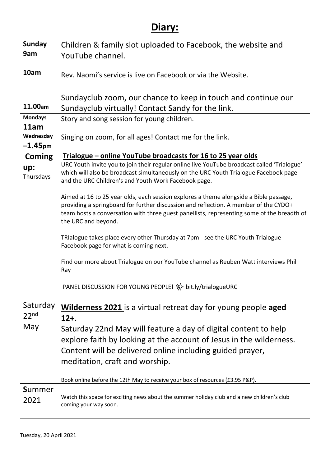### **Diary:**

| <b>Sunday</b>    | Children & family slot uploaded to Facebook, the website and                                                                                 |  |  |  |  |  |  |  |  |
|------------------|----------------------------------------------------------------------------------------------------------------------------------------------|--|--|--|--|--|--|--|--|
| 9am              | YouTube channel.                                                                                                                             |  |  |  |  |  |  |  |  |
|                  |                                                                                                                                              |  |  |  |  |  |  |  |  |
| 10am             | Rev. Naomi's service is live on Facebook or via the Website.                                                                                 |  |  |  |  |  |  |  |  |
|                  |                                                                                                                                              |  |  |  |  |  |  |  |  |
|                  | Sundayclub zoom, our chance to keep in touch and continue our                                                                                |  |  |  |  |  |  |  |  |
| 11.00am          | Sundayclub virtually! Contact Sandy for the link.                                                                                            |  |  |  |  |  |  |  |  |
| <b>Mondays</b>   | Story and song session for young children.                                                                                                   |  |  |  |  |  |  |  |  |
| 11am             |                                                                                                                                              |  |  |  |  |  |  |  |  |
| Wednesday        | Singing on zoom, for all ages! Contact me for the link.                                                                                      |  |  |  |  |  |  |  |  |
| $-1.45$ pm       |                                                                                                                                              |  |  |  |  |  |  |  |  |
| <b>Coming</b>    | Trialogue – online YouTube broadcasts for 16 to 25 year olds                                                                                 |  |  |  |  |  |  |  |  |
| up:              | URC Youth invite you to join their regular online live YouTube broadcast called 'Trialogue'                                                  |  |  |  |  |  |  |  |  |
| Thursdays        | which will also be broadcast simultaneously on the URC Youth Trialogue Facebook page<br>and the URC Children's and Youth Work Facebook page. |  |  |  |  |  |  |  |  |
|                  |                                                                                                                                              |  |  |  |  |  |  |  |  |
|                  | Aimed at 16 to 25 year olds, each session explores a theme alongside a Bible passage,                                                        |  |  |  |  |  |  |  |  |
|                  | providing a springboard for further discussion and reflection. A member of the CYDO+                                                         |  |  |  |  |  |  |  |  |
|                  | team hosts a conversation with three guest panellists, representing some of the breadth of<br>the URC and beyond.                            |  |  |  |  |  |  |  |  |
|                  |                                                                                                                                              |  |  |  |  |  |  |  |  |
|                  | TRIalogue takes place every other Thursday at 7pm - see the URC Youth Trialogue                                                              |  |  |  |  |  |  |  |  |
|                  | Facebook page for what is coming next.                                                                                                       |  |  |  |  |  |  |  |  |
|                  | Find our more about Trialogue on our YouTube channel as Reuben Watt interviews Phil                                                          |  |  |  |  |  |  |  |  |
|                  | Ray                                                                                                                                          |  |  |  |  |  |  |  |  |
|                  |                                                                                                                                              |  |  |  |  |  |  |  |  |
|                  | PANEL DISCUSSION FOR YOUNG PEOPLE! %> bit.ly/trialogueURC                                                                                    |  |  |  |  |  |  |  |  |
|                  |                                                                                                                                              |  |  |  |  |  |  |  |  |
| Saturday         | <b>Wilderness 2021</b> is a virtual retreat day for young people aged                                                                        |  |  |  |  |  |  |  |  |
| 22 <sup>nd</sup> | $12+$ .                                                                                                                                      |  |  |  |  |  |  |  |  |
| May              | Saturday 22nd May will feature a day of digital content to help                                                                              |  |  |  |  |  |  |  |  |
|                  | explore faith by looking at the account of Jesus in the wilderness.                                                                          |  |  |  |  |  |  |  |  |
|                  | Content will be delivered online including guided prayer,                                                                                    |  |  |  |  |  |  |  |  |
|                  | meditation, craft and worship.                                                                                                               |  |  |  |  |  |  |  |  |
|                  |                                                                                                                                              |  |  |  |  |  |  |  |  |
|                  | Book online before the 12th May to receive your box of resources (£3.95 P&P).                                                                |  |  |  |  |  |  |  |  |
| <b>Summer</b>    |                                                                                                                                              |  |  |  |  |  |  |  |  |
| 2021             | Watch this space for exciting news about the summer holiday club and a new children's club<br>coming your way soon.                          |  |  |  |  |  |  |  |  |
|                  |                                                                                                                                              |  |  |  |  |  |  |  |  |